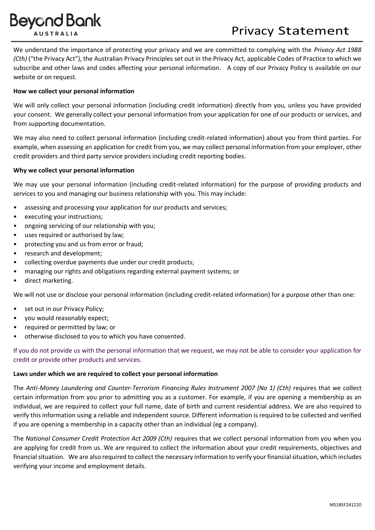# **Beyond Bank AUSTRALI**

# Privacy Statement

We understand the importance of protecting your privacy and we are committed to complying with the *Privacy Act 1988 (Cth)* ("the Privacy Act"), the Australian Privacy Principles set out in the Privacy Act, applicable Codes of Practice to which we subscribe and other laws and codes affecting your personal information. A copy of our Privacy Policy is available on our website or on request.

## **How we collect your personal information**

We will only collect your personal information (including credit information) directly from you, unless you have provided your consent. We generally collect your personal information from your application for one of our products or services, and from supporting documentation.

We may also need to collect personal information (including credit-related information) about you from third parties. For example, when assessing an application for credit from you, we may collect personal information from your employer, other credit providers and third party service providers including credit reporting bodies.

## **Why we collect your personal information**

We may use your personal information (including credit-related information) for the purpose of providing products and services to you and managing our business relationship with you. This may include:

- assessing and processing your application for our products and services;
- executing your instructions;
- ongoing servicing of our relationship with you;
- uses required or authorised by law;
- protecting you and us from error or fraud;
- research and development;
- collecting overdue payments due under our credit products;
- managing our rights and obligations regarding external payment systems; or
- direct marketing.

We will not use or disclose your personal information (including credit-related information) for a purpose other than one:

- set out in our Privacy Policy:
- you would reasonably expect;
- required or permitted by law; or
- otherwise disclosed to you to which you have consented.

If you do not provide us with the personal information that we request, we may not be able to consider your application for credit or provide other products and services.

#### **Laws under which we are required to collect your personal information**

The *Anti-Money Laundering and Counter-Terrorism Financing Rules Instrument 2007 (No 1) (Cth)* requires that we collect certain information from you prior to admitting you as a customer. For example, if you are opening a membership as an individual, we are required to collect your full name, date of birth and current residential address. We are also required to verify this information using a reliable and independent source. Different information is required to be collected and verified if you are opening a membership in a capacity other than an individual (eg a company).

The *National Consumer Credit Protection Act 2009 (Cth)* requires that we collect personal information from you when you are applying for credit from us. We are required to collect the information about your credit requirements, objectives and financial situation. We are also required to collect the necessary information to verify your financial situation, which includes verifying your income and employment details.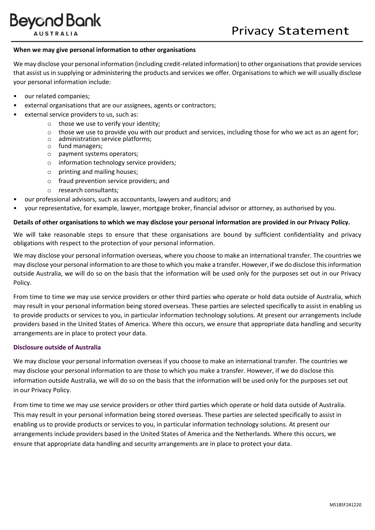# **Beyond Bank AUSTRALI**

#### **When we may give personal information to other organisations**

We may disclose your personal information (including credit-related information) to other organisations that provide services that assist us in supplying or administering the products and services we offer. Organisations to which we will usually disclose your personal information include:

- our related companies;
- external organisations that are our assignees, agents or contractors;
- external service providers to us, such as:
	- $\circ$  those we use to verify your identity;
	- $\circ$  those we use to provide you with our product and services, including those for who we act as an agent for;
	- o administration service platforms;
	- o fund managers;
	- o payment systems operators;
	- o information technology service providers;
	- o printing and mailing houses;
	- o fraud prevention service providers; and
	- o research consultants;
- our professional advisors, such as accountants, lawyers and auditors; and
- your representative, for example, lawyer, mortgage broker, financial advisor or attorney, as authorised by you.

#### **Details of other organisations to which we may disclose your personal information are provided in our Privacy Policy.**

We will take reasonable steps to ensure that these organisations are bound by sufficient confidentiality and privacy obligations with respect to the protection of your personal information.

We may disclose your personal information overseas, where you choose to make an international transfer. The countries we may disclose your personal information to are those to which you make a transfer. However, if we do disclose this information outside Australia, we will do so on the basis that the information will be used only for the purposes set out in our Privacy Policy.

From time to time we may use service providers or other third parties who operate or hold data outside of Australia, which may result in your personal information being stored overseas. These parties are selected specifically to assist in enabling us to provide products or services to you, in particular information technology solutions. At present our arrangements include providers based in the United States of America. Where this occurs, we ensure that appropriate data handling and security arrangements are in place to protect your data.

#### **Disclosure outside of Australia**

We may disclose your personal information overseas if you choose to make an international transfer. The countries we may disclose your personal information to are those to which you make a transfer. However, if we do disclose this information outside Australia, we will do so on the basis that the information will be used only for the purposes set out in our Privacy Policy.

From time to time we may use service providers or other third parties which operate or hold data outside of Australia. This may result in your personal information being stored overseas. These parties are selected specifically to assist in enabling us to provide products or services to you, in particular information technology solutions. At present our arrangements include providers based in the United States of America and the Netherlands. Where this occurs, we ensure that appropriate data handling and security arrangements are in place to protect your data.